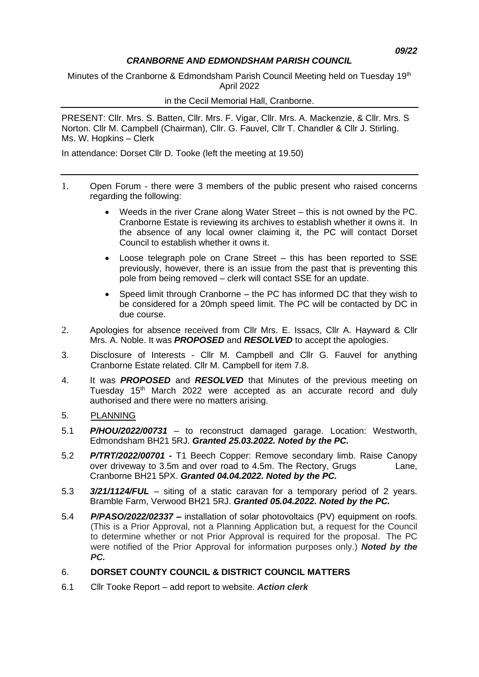#### *CRANBORNE AND EDMONDSHAM PARISH COUNCIL*

Minutes of the Cranborne & Edmondsham Parish Council Meeting held on Tuesday 19<sup>th</sup> April 2022

#### in the Cecil Memorial Hall, Cranborne.

PRESENT: Cllr. Mrs. S. Batten, Cllr. Mrs. F. Vigar, Cllr. Mrs. A. Mackenzie, & Cllr. Mrs. S Norton. Cllr M. Campbell (Chairman), Cllr. G. Fauvel, Cllr T. Chandler & Cllr J. Stirling. Ms. W. Hopkins – Clerk

In attendance: Dorset Cllr D. Tooke (left the meeting at 19.50)

- 1. Open Forum there were 3 members of the public present who raised concerns regarding the following:
	- Weeds in the river Crane along Water Street this is not owned by the PC. Cranborne Estate is reviewing its archives to establish whether it owns it. In the absence of any local owner claiming it, the PC will contact Dorset Council to establish whether it owns it.
	- Loose telegraph pole on Crane Street this has been reported to SSE previously, however, there is an issue from the past that is preventing this pole from being removed – clerk will contact SSE for an update.
	- Speed limit through Cranborne the PC has informed DC that they wish to be considered for a 20mph speed limit. The PC will be contacted by DC in due course.
- 2. Apologies for absence received from Cllr Mrs. E. Issacs, Cllr A. Hayward & Cllr Mrs. A. Noble. It was *PROPOSED* and *RESOLVED* to accept the apologies.
- 3. Disclosure of Interests Cllr M. Campbell and Cllr G. Fauvel for anything Cranborne Estate related. Cllr M. Campbell for item 7.8.
- 4. It was *PROPOSED* and *RESOLVED* that Minutes of the previous meeting on Tuesday 15<sup>th</sup> March 2022 were accepted as an accurate record and duly authorised and there were no matters arising.
- 5. PLANNING
- 5.1 *P/HOU/2022/00731* to reconstruct damaged garage. Location: Westworth, Edmondsham BH21 5RJ. *Granted 25.03.2022. Noted by the PC.*
- 5.2 *P/TRT/2022/00701 -* T1 Beech Copper: Remove secondary limb. Raise Canopy over driveway to 3.5m and over road to 4.5m. The Rectory, Grugs Lane, Cranborne BH21 5PX. *Granted 04.04.2022. Noted by the PC.*
- 5.3 *3/21/1124/FUL* siting of a static caravan for a temporary period of 2 years. Bramble Farm, Verwood BH21 5RJ. *Granted 05.04.2022. Noted by the PC.*
- 5.4 *P/PASO/2022/02337 –* installation of solar photovoltaics (PV) equipment on roofs. (This is a Prior Approval, not a Planning Application but, a request for the Council to determine whether or not Prior Approval is required for the proposal. The PC were notified of the Prior Approval for information purposes only.) *Noted by the PC.*

#### 6. **DORSET COUNTY COUNCIL & DISTRICT COUNCIL MATTERS**

6.1 Cllr Tooke Report – add report to website. *Action clerk*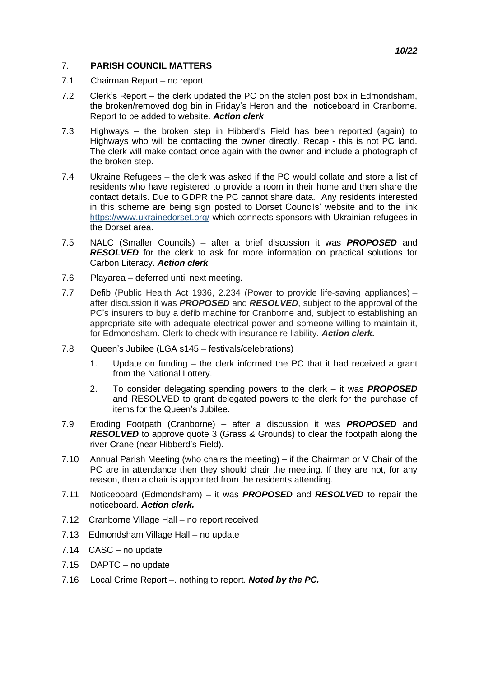#### 7. **PARISH COUNCIL MATTERS**

- 7.1 Chairman Report no report
- 7.2 Clerk's Report the clerk updated the PC on the stolen post box in Edmondsham, the broken/removed dog bin in Friday's Heron and the noticeboard in Cranborne. Report to be added to website. *Action clerk*
- 7.3 Highways the broken step in Hibberd's Field has been reported (again) to Highways who will be contacting the owner directly. Recap - this is not PC land. The clerk will make contact once again with the owner and include a photograph of the broken step.
- 7.4 Ukraine Refugees the clerk was asked if the PC would collate and store a list of residents who have registered to provide a room in their home and then share the contact details. Due to GDPR the PC cannot share data. Any residents interested in this scheme are being sign posted to Dorset Councils' website and to the link <https://www.ukrainedorset.org/> which connects sponsors with Ukrainian refugees in the Dorset area.
- 7.5 NALC (Smaller Councils) after a brief discussion it was *PROPOSED* and **RESOLVED** for the clerk to ask for more information on practical solutions for Carbon Literacy. *Action clerk*
- 7.6 Playarea deferred until next meeting.
- 7.7 Defib (Public Health Act 1936, 2.234 (Power to provide life-saving appliances) after discussion it was *PROPOSED* and *RESOLVED*, subject to the approval of the PC's insurers to buy a defib machine for Cranborne and, subject to establishing an appropriate site with adequate electrical power and someone willing to maintain it, for Edmondsham. Clerk to check with insurance re liability. *Action clerk.*
- 7.8 Queen's Jubilee (LGA s145 festivals/celebrations)
	- 1. Update on funding the clerk informed the PC that it had received a grant from the National Lottery.
	- 2. To consider delegating spending powers to the clerk it was *PROPOSED* and RESOLVED to grant delegated powers to the clerk for the purchase of items for the Queen's Jubilee.
- 7.9 Eroding Footpath (Cranborne) after a discussion it was *PROPOSED* and *RESOLVED* to approve quote 3 (Grass & Grounds) to clear the footpath along the river Crane (near Hibberd's Field).
- 7.10 Annual Parish Meeting (who chairs the meeting) if the Chairman or V Chair of the PC are in attendance then they should chair the meeting. If they are not, for any reason, then a chair is appointed from the residents attending.
- 7.11 Noticeboard (Edmondsham) it was *PROPOSED* and *RESOLVED* to repair the noticeboard. *Action clerk.*
- 7.12 Cranborne Village Hall no report received
- 7.13 Edmondsham Village Hall no update
- 7.14 CASC no update
- 7.15 DAPTC no update
- 7.16 Local Crime Report –. nothing to report. *Noted by the PC.*